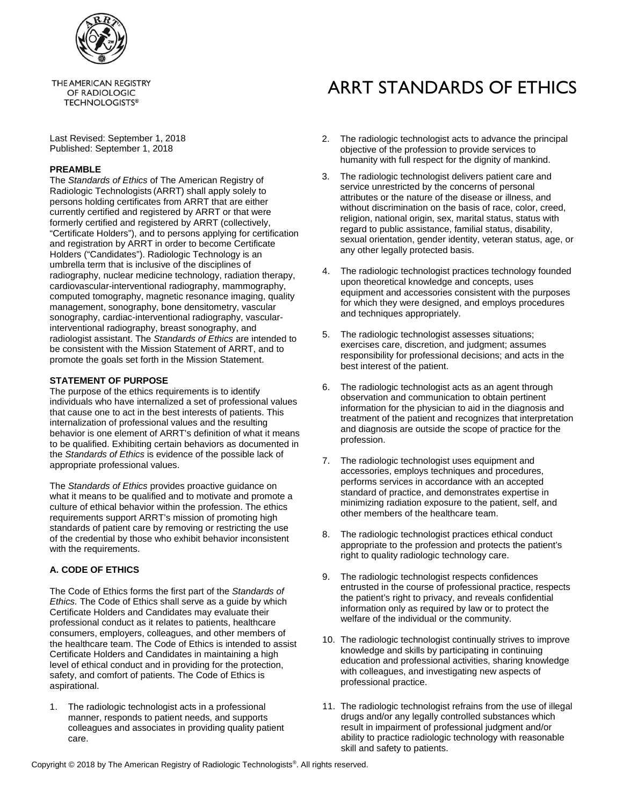

THE AMERICAN REGISTRY OF RADIOLOGIC **TECHNOLOGISTS®** 

Last Revised: September 1, 2018 Published: September 1, 2018

# **PREAMBLE**

The *Standards of Ethics* of The American Registry of Radiologic Technologists (ARRT) shall apply solely to persons holding certificates from ARRT that are either currently certified and registered by ARRT or that were formerly certified and registered by ARRT (collectively, "Certificate Holders"), and to persons applying for certification and registration by ARRT in order to become Certificate Holders ("Candidates"). Radiologic Technology is an umbrella term that is inclusive of the disciplines of radiography, nuclear medicine technology, radiation therapy, cardiovascular-interventional radiography, mammography, computed tomography, magnetic resonance imaging, quality management, sonography, bone densitometry, vascular sonography, cardiac-interventional radiography, vascularinterventional radiography, breast sonography, and radiologist assistant. The *Standards of Ethics* are intended to be consistent with the Mission Statement of ARRT, and to promote the goals set forth in the Mission Statement.

# **STATEMENT OF PURPOSE**

The purpose of the ethics requirements is to identify individuals who have internalized a set of professional values that cause one to act in the best interests of patients. This internalization of professional values and the resulting behavior is one element of ARRT's definition of what it means to be qualified. Exhibiting certain behaviors as documented in the *Standards of Ethics* is evidence of the possible lack of appropriate professional values.

The *Standards of Ethics* provides proactive guidance on what it means to be qualified and to motivate and promote a culture of ethical behavior within the profession. The ethics requirements support ARRT's mission of promoting high standards of patient care by removing or restricting the use of the credential by those who exhibit behavior inconsistent with the requirements.

# **A. CODE OF ETHICS**

The Code of Ethics forms the first part of the *Standards of Ethics.* The Code of Ethics shall serve as a guide by which Certificate Holders and Candidates may evaluate their professional conduct as it relates to patients, healthcare consumers, employers, colleagues, and other members of the healthcare team. The Code of Ethics is intended to assist Certificate Holders and Candidates in maintaining a high level of ethical conduct and in providing for the protection, safety, and comfort of patients. The Code of Ethics is aspirational.

1. The radiologic technologist acts in a professional manner, responds to patient needs, and supports colleagues and associates in providing quality patient care.

# ARRT STANDARDS OF ETHICS

- 2. The radiologic technologist acts to advance the principal objective of the profession to provide services to humanity with full respect for the dignity of mankind.
- 3. The radiologic technologist delivers patient care and service unrestricted by the concerns of personal attributes or the nature of the disease or illness, and without discrimination on the basis of race, color, creed, religion, national origin, sex, marital status, status with regard to public assistance, familial status, disability, sexual orientation, gender identity, veteran status, age, or any other legally protected basis.
- The radiologic technologist practices technology founded upon theoretical knowledge and concepts, uses equipment and accessories consistent with the purposes for which they were designed, and employs procedures and techniques appropriately.
- 5. The radiologic technologist assesses situations; exercises care, discretion, and judgment; assumes responsibility for professional decisions; and acts in the best interest of the patient.
- 6. The radiologic technologist acts as an agent through observation and communication to obtain pertinent information for the physician to aid in the diagnosis and treatment of the patient and recognizes that interpretation and diagnosis are outside the scope of practice for the profession.
- 7. The radiologic technologist uses equipment and accessories, employs techniques and procedures, performs services in accordance with an accepted standard of practice, and demonstrates expertise in minimizing radiation exposure to the patient, self, and other members of the healthcare team.
- 8. The radiologic technologist practices ethical conduct appropriate to the profession and protects the patient's right to quality radiologic technology care.
- 9. The radiologic technologist respects confidences entrusted in the course of professional practice, respects the patient's right to privacy, and reveals confidential information only as required by law or to protect the welfare of the individual or the community.
- 10. The radiologic technologist continually strives to improve knowledge and skills by participating in continuing education and professional activities, sharing knowledge with colleagues, and investigating new aspects of professional practice.
- 11. The radiologic technologist refrains from the use of illegal drugs and/or any legally controlled substances which result in impairment of professional judgment and/or ability to practice radiologic technology with reasonable skill and safety to patients.

Copyright © 2018 by The American Registry of Radiologic Technologists®. All rights reserved.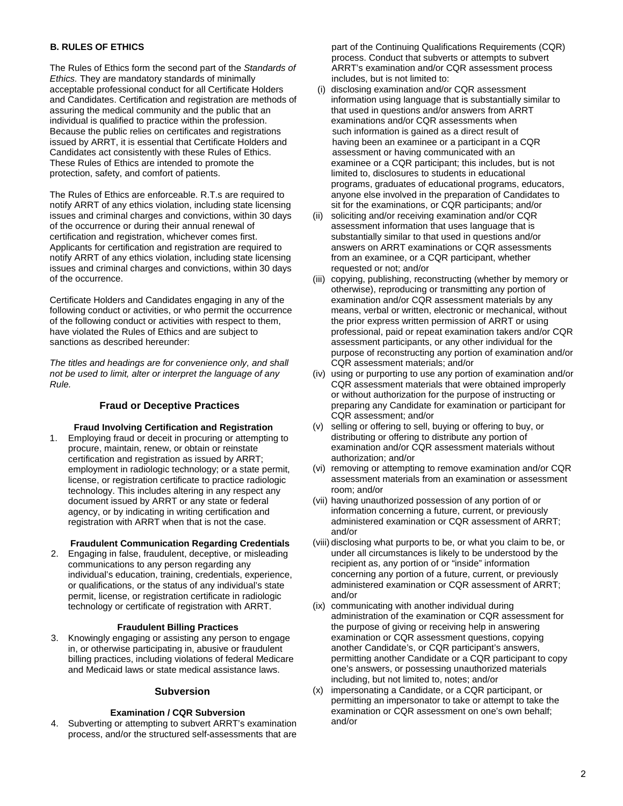# **B. RULES OF ETHICS**

The Rules of Ethics form the second part of the *Standards of Ethics.* They are mandatory standards of minimally acceptable professional conduct for all Certificate Holders and Candidates. Certification and registration are methods of assuring the medical community and the public that an individual is qualified to practice within the profession. Because the public relies on certificates and registrations issued by ARRT, it is essential that Certificate Holders and Candidates act consistently with these Rules of Ethics. These Rules of Ethics are intended to promote the protection, safety, and comfort of patients.

The Rules of Ethics are enforceable. R.T.s are required to notify ARRT of any ethics violation, including state licensing issues and criminal charges and convictions, within 30 days of the occurrence or during their annual renewal of certification and registration, whichever comes first. Applicants for certification and registration are required to notify ARRT of any ethics violation, including state licensing issues and criminal charges and convictions, within 30 days of the occurrence.

Certificate Holders and Candidates engaging in any of the following conduct or activities, or who permit the occurrence of the following conduct or activities with respect to them, have violated the Rules of Ethics and are subject to sanctions as described hereunder:

*The titles and headings are for convenience only, and shall not be used to limit, alter or interpret the language of any Rule.*

# **Fraud or Deceptive Practices**

# **Fraud Involving Certification and Registration**

1. Employing fraud or deceit in procuring or attempting to procure, maintain, renew, or obtain or reinstate certification and registration as issued by ARRT; employment in radiologic technology; or a state permit, license, or registration certificate to practice radiologic technology. This includes altering in any respect any document issued by ARRT or any state or federal agency, or by indicating in writing certification and registration with ARRT when that is not the case.

# **Fraudulent Communication Regarding Credentials**

2. Engaging in false, fraudulent, deceptive, or misleading communications to any person regarding any individual's education, training, credentials, experience, or qualifications, or the status of any individual's state permit, license, or registration certificate in radiologic technology or certificate of registration with ARRT.

# **Fraudulent Billing Practices**

3. Knowingly engaging or assisting any person to engage in, or otherwise participating in, abusive or fraudulent billing practices, including violations of federal Medicare and Medicaid laws or state medical assistance laws.

# **Subversion**

#### **Examination / CQR Subversion**

4. Subverting or attempting to subvert ARRT's examination process, and/or the structured self-assessments that are part of the Continuing Qualifications Requirements (CQR) process. Conduct that subverts or attempts to subvert ARRT's examination and/or CQR assessment process includes, but is not limited to:

- (i) disclosing examination and/or CQR assessment information using language that is substantially similar to that used in questions and/or answers from ARRT examinations and/or CQR assessments when such information is gained as a direct result of having been an examinee or a participant in a CQR assessment or having communicated with an examinee or a CQR participant; this includes, but is not limited to, disclosures to students in educational programs, graduates of educational programs, educators, anyone else involved in the preparation of Candidates to sit for the examinations, or CQR participants; and/or
- (ii) soliciting and/or receiving examination and/or CQR assessment information that uses language that is substantially similar to that used in questions and/or answers on ARRT examinations or CQR assessments from an examinee, or a CQR participant, whether requested or not; and/or
- (iii) copying, publishing, reconstructing (whether by memory or otherwise), reproducing or transmitting any portion of examination and/or CQR assessment materials by any means, verbal or written, electronic or mechanical, without the prior express written permission of ARRT or using professional, paid or repeat examination takers and/or CQR assessment participants, or any other individual for the purpose of reconstructing any portion of examination and/or CQR assessment materials; and/or
- (iv) using or purporting to use any portion of examination and/or CQR assessment materials that were obtained improperly or without authorization for the purpose of instructing or preparing any Candidate for examination or participant for CQR assessment; and/or
- (v) selling or offering to sell, buying or offering to buy, or distributing or offering to distribute any portion of examination and/or CQR assessment materials without authorization; and/or
- (vi) removing or attempting to remove examination and/or CQR assessment materials from an examination or assessment room; and/or
- (vii) having unauthorized possession of any portion of or information concerning a future, current, or previously administered examination or CQR assessment of ARRT; and/or
- (viii) disclosing what purports to be, or what you claim to be, or under all circumstances is likely to be understood by the recipient as, any portion of or "inside" information concerning any portion of a future, current, or previously administered examination or CQR assessment of ARRT; and/or
- (ix) communicating with another individual during administration of the examination or CQR assessment for the purpose of giving or receiving help in answering examination or CQR assessment questions, copying another Candidate's, or CQR participant's answers, permitting another Candidate or a CQR participant to copy one's answers, or possessing unauthorized materials including, but not limited to, notes; and/or
- (x) impersonating a Candidate, or a CQR participant, or permitting an impersonator to take or attempt to take the examination or CQR assessment on one's own behalf; and/or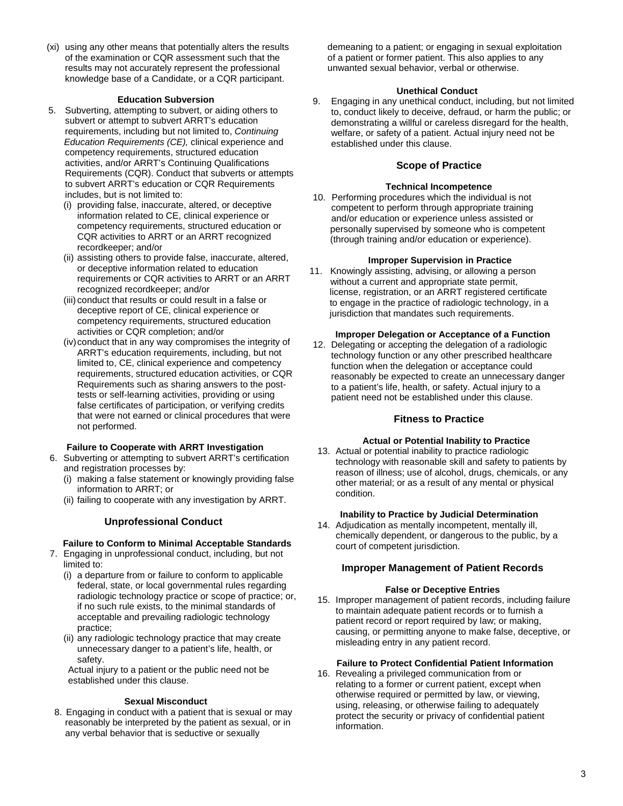(xi) using any other means that potentially alters the results of the examination or CQR assessment such that the results may not accurately represent the professional knowledge base of a Candidate, or a CQR participant.

### **Education Subversion**

- 5. Subverting, attempting to subvert, or aiding others to subvert or attempt to subvert ARRT's education requirements, including but not limited to, *Continuing Education Requirements (CE),* clinical experience and competency requirements, structured education activities, and/or ARRT's Continuing Qualifications Requirements (CQR). Conduct that subverts or attempts to subvert ARRT's education or CQR Requirements includes, but is not limited to:
	- (i) providing false, inaccurate, altered, or deceptive information related to CE, clinical experience or competency requirements, structured education or CQR activities to ARRT or an ARRT recognized recordkeeper; and/or
	- (ii) assisting others to provide false, inaccurate, altered, or deceptive information related to education requirements or CQR activities to ARRT or an ARRT recognized recordkeeper; and/or
	- (iii) conduct that results or could result in a false or deceptive report of CE, clinical experience or competency requirements, structured education activities or CQR completion; and/or
	- (iv) conduct that in any way compromises the integrity of ARRT's education requirements, including, but not limited to, CE, clinical experience and competency requirements, structured education activities, or CQR Requirements such as sharing answers to the posttests or self-learning activities, providing or using false certificates of participation, or verifying credits that were not earned or clinical procedures that were not performed.

# **Failure to Cooperate with ARRT Investigation**

- 6. Subverting or attempting to subvert ARRT's certification and registration processes by:
	- (i) making a false statement or knowingly providing false information to ARRT; or
	- (ii) failing to cooperate with any investigation by ARRT.

# **Unprofessional Conduct**

# **Failure to Conform to Minimal Acceptable Standards**

- 7. Engaging in unprofessional conduct, including, but not limited to:
	- (i) a departure from or failure to conform to applicable federal, state, or local governmental rules regarding radiologic technology practice or scope of practice; or, if no such rule exists, to the minimal standards of acceptable and prevailing radiologic technology practice;
	- (ii) any radiologic technology practice that may create unnecessary danger to a patient's life, health, or safety.

Actual injury to a patient or the public need not be established under this clause.

# **Sexual Misconduct**

8. Engaging in conduct with a patient that is sexual or may reasonably be interpreted by the patient as sexual, or in any verbal behavior that is seductive or sexually

demeaning to a patient; or engaging in sexual exploitation of a patient or former patient. This also applies to any unwanted sexual behavior, verbal or otherwise.

# **Unethical Conduct**

9. Engaging in any unethical conduct, including, but not limited to, conduct likely to deceive, defraud, or harm the public; or demonstrating a willful or careless disregard for the health, welfare, or safety of a patient. Actual injury need not be established under this clause.

# **Scope of Practice**

#### **Technical Incompetence**

10. Performing procedures which the individual is not competent to perform through appropriate training and/or education or experience unless assisted or personally supervised by someone who is competent (through training and/or education or experience).

#### **Improper Supervision in Practice**

11. Knowingly assisting, advising, or allowing a person without a current and appropriate state permit, license, registration, or an ARRT registered certificate to engage in the practice of radiologic technology, in a jurisdiction that mandates such requirements.

# **Improper Delegation or Acceptance of a Function**

12. Delegating or accepting the delegation of a radiologic technology function or any other prescribed healthcare function when the delegation or acceptance could reasonably be expected to create an unnecessary danger to a patient's life, health, or safety. Actual injury to a patient need not be established under this clause.

# **Fitness to Practice**

#### **Actual or Potential Inability to Practice**

13. Actual or potential inability to practice radiologic technology with reasonable skill and safety to patients by reason of illness; use of alcohol, drugs, chemicals, or any other material; or as a result of any mental or physical condition.

### **Inability to Practice by Judicial Determination**

14. Adjudication as mentally incompetent, mentally ill, chemically dependent, or dangerous to the public, by a court of competent jurisdiction.

# **Improper Management of Patient Records**

# **False or Deceptive Entries**

15. Improper management of patient records, including failure to maintain adequate patient records or to furnish a patient record or report required by law; or making, causing, or permitting anyone to make false, deceptive, or misleading entry in any patient record.

# **Failure to Protect Confidential Patient Information**

16. Revealing a privileged communication from or relating to a former or current patient, except when otherwise required or permitted by law, or viewing, using, releasing, or otherwise failing to adequately protect the security or privacy of confidential patient information.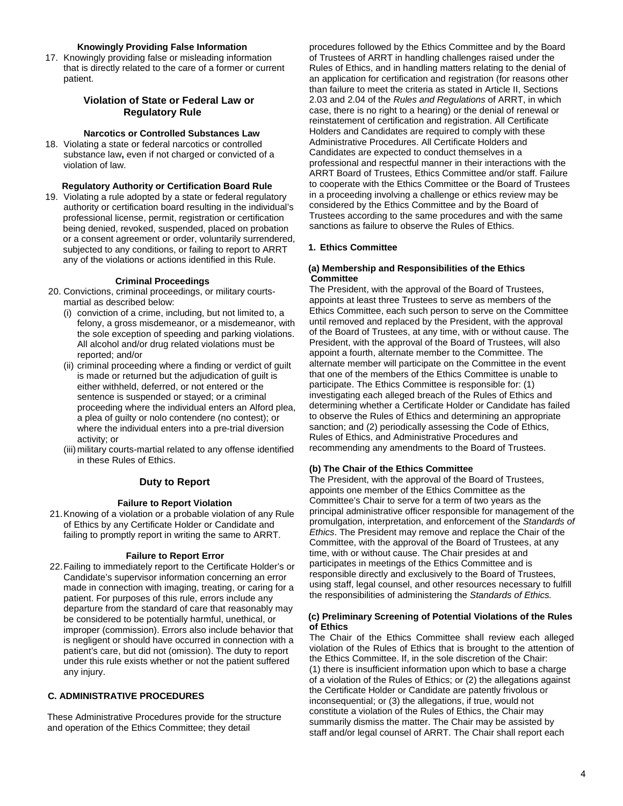# **Knowingly Providing False Information**

17. Knowingly providing false or misleading information that is directly related to the care of a former or current patient.

# **Violation of State or Federal Law or Regulatory Rule**

# **Narcotics or Controlled Substances Law**

18. Violating a state or federal narcotics or controlled substance law**,** even if not charged or convicted of a violation of law.

#### **Regulatory Authority or Certification Board Rule**

19. Violating a rule adopted by a state or federal regulatory authority or certification board resulting in the individual's professional license, permit, registration or certification being denied, revoked, suspended, placed on probation or a consent agreement or order, voluntarily surrendered, subjected to any conditions, or failing to report to ARRT any of the violations or actions identified in this Rule.

#### **Criminal Proceedings**

- 20. Convictions, criminal proceedings, or military courtsmartial as described below:
	- (i) conviction of a crime, including, but not limited to, a felony, a gross misdemeanor, or a misdemeanor, with the sole exception of speeding and parking violations. All alcohol and/or drug related violations must be reported; and/or
	- (ii) criminal proceeding where a finding or verdict of guilt is made or returned but the adjudication of guilt is either withheld, deferred, or not entered or the sentence is suspended or stayed; or a criminal proceeding where the individual enters an Alford plea, a plea of guilty or nolo contendere (no contest); or where the individual enters into a pre-trial diversion activity; or
	- (iii) military courts-martial related to any offense identified in these Rules of Ethics.

# **Duty to Report**

# **Failure to Report Violation**

21.Knowing of a violation or a probable violation of any Rule of Ethics by any Certificate Holder or Candidate and failing to promptly report in writing the same to ARRT.

#### **Failure to Report Error**

22.Failing to immediately report to the Certificate Holder's or Candidate's supervisor information concerning an error made in connection with imaging, treating, or caring for a patient. For purposes of this rule, errors include any departure from the standard of care that reasonably may be considered to be potentially harmful, unethical, or improper (commission). Errors also include behavior that is negligent or should have occurred in connection with a patient's care, but did not (omission). The duty to report under this rule exists whether or not the patient suffered any injury.

# **C. ADMINISTRATIVE PROCEDURES**

 These Administrative Procedures provide for the structure and operation of the Ethics Committee; they detail

procedures followed by the Ethics Committee and by the Board of Trustees of ARRT in handling challenges raised under the Rules of Ethics, and in handling matters relating to the denial of an application for certification and registration (for reasons other than failure to meet the criteria as stated in Article II, Sections 2.03 and 2.04 of the *Rules and Regulations* of ARRT, in which case, there is no right to a hearing) or the denial of renewal or reinstatement of certification and registration. All Certificate Holders and Candidates are required to comply with these Administrative Procedures. All Certificate Holders and Candidates are expected to conduct themselves in a professional and respectful manner in their interactions with the ARRT Board of Trustees, Ethics Committee and/or staff. Failure to cooperate with the Ethics Committee or the Board of Trustees in a proceeding involving a challenge or ethics review may be considered by the Ethics Committee and by the Board of Trustees according to the same procedures and with the same sanctions as failure to observe the Rules of Ethics.

### **1. Ethics Committee**

# **(a) Membership and Responsibilities of the Ethics Committee**

The President, with the approval of the Board of Trustees, appoints at least three Trustees to serve as members of the Ethics Committee, each such person to serve on the Committee until removed and replaced by the President, with the approval of the Board of Trustees, at any time, with or without cause. The President, with the approval of the Board of Trustees, will also appoint a fourth, alternate member to the Committee. The alternate member will participate on the Committee in the event that one of the members of the Ethics Committee is unable to participate. The Ethics Committee is responsible for: (1) investigating each alleged breach of the Rules of Ethics and determining whether a Certificate Holder or Candidate has failed to observe the Rules of Ethics and determining an appropriate sanction; and (2) periodically assessing the Code of Ethics, Rules of Ethics, and Administrative Procedures and recommending any amendments to the Board of Trustees.

#### **(b) The Chair of the Ethics Committee**

The President, with the approval of the Board of Trustees, appoints one member of the Ethics Committee as the Committee's Chair to serve for a term of two years as the principal administrative officer responsible for management of the promulgation, interpretation, and enforcement of the *Standards of Ethics*. The President may remove and replace the Chair of the Committee, with the approval of the Board of Trustees, at any time, with or without cause. The Chair presides at and participates in meetings of the Ethics Committee and is responsible directly and exclusively to the Board of Trustees, using staff, legal counsel, and other resources necessary to fulfill the responsibilities of administering the *Standards of Ethics.*

#### **(c) Preliminary Screening of Potential Violations of the Rules of Ethics**

The Chair of the Ethics Committee shall review each alleged violation of the Rules of Ethics that is brought to the attention of the Ethics Committee. If, in the sole discretion of the Chair: (1) there is insufficient information upon which to base a charge of a violation of the Rules of Ethics; or (2) the allegations against the Certificate Holder or Candidate are patently frivolous or inconsequential; or (3) the allegations, if true, would not constitute a violation of the Rules of Ethics, the Chair may summarily dismiss the matter. The Chair may be assisted by staff and/or legal counsel of ARRT. The Chair shall report each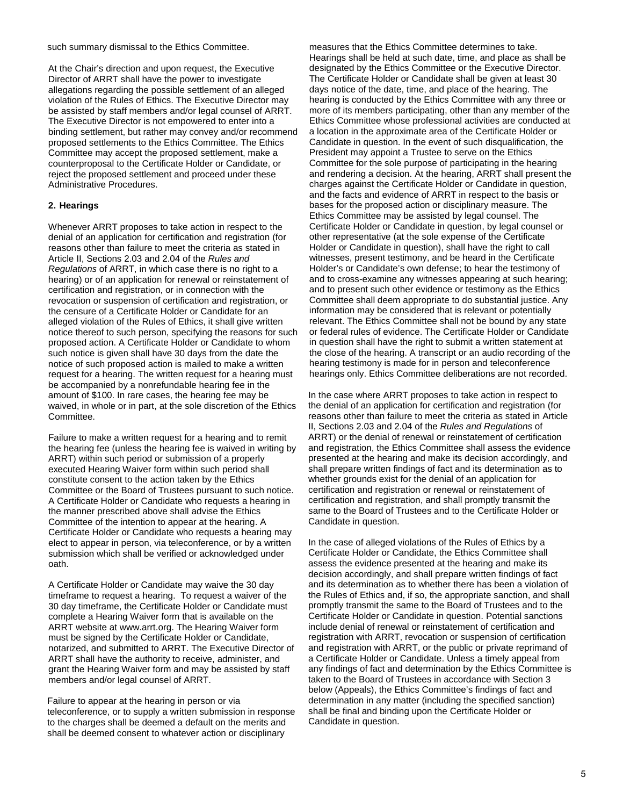such summary dismissal to the Ethics Committee.

At the Chair's direction and upon request, the Executive Director of ARRT shall have the power to investigate allegations regarding the possible settlement of an alleged violation of the Rules of Ethics. The Executive Director may be assisted by staff members and/or legal counsel of ARRT. The Executive Director is not empowered to enter into a binding settlement, but rather may convey and/or recommend proposed settlements to the Ethics Committee. The Ethics Committee may accept the proposed settlement, make a counterproposal to the Certificate Holder or Candidate, or reject the proposed settlement and proceed under these Administrative Procedures.

# **2. Hearings**

Whenever ARRT proposes to take action in respect to the denial of an application for certification and registration (for reasons other than failure to meet the criteria as stated in Article II, Sections 2.03 and 2.04 of the *Rules and Regulations* of ARRT, in which case there is no right to a hearing) or of an application for renewal or reinstatement of certification and registration, or in connection with the revocation or suspension of certification and registration, or the censure of a Certificate Holder or Candidate for an alleged violation of the Rules of Ethics, it shall give written notice thereof to such person, specifying the reasons for such proposed action. A Certificate Holder or Candidate to whom such notice is given shall have 30 days from the date the notice of such proposed action is mailed to make a written request for a hearing. The written request for a hearing must be accompanied by a nonrefundable hearing fee in the amount of \$100. In rare cases, the hearing fee may be waived, in whole or in part, at the sole discretion of the Ethics Committee.

Failure to make a written request for a hearing and to remit the hearing fee (unless the hearing fee is waived in writing by ARRT) within such period or submission of a properly executed Hearing Waiver form within such period shall constitute consent to the action taken by the Ethics Committee or the Board of Trustees pursuant to such notice. A Certificate Holder or Candidate who requests a hearing in the manner prescribed above shall advise the Ethics Committee of the intention to appear at the hearing. A Certificate Holder or Candidate who requests a hearing may elect to appear in person, via teleconference, or by a written submission which shall be verified or acknowledged under oath.

A Certificate Holder or Candidate may waive the 30 day timeframe to request a hearing. To request a waiver of the 30 day timeframe, the Certificate Holder or Candidate must complete a Hearing Waiver form that is available on the ARRT website a[t www.arrt.org.](http://www.arrt.org/) The Hearing Waiver form must be signed by the Certificate Holder or Candidate, notarized, and submitted to ARRT. The Executive Director of ARRT shall have the authority to receive, administer, and grant the Hearing Waiver form and may be assisted by staff members and/or legal counsel of ARRT.

 Failure to appear at the hearing in person or via teleconference, or to supply a written submission in response to the charges shall be deemed a default on the merits and shall be deemed consent to whatever action or disciplinary

measures that the Ethics Committee determines to take. Hearings shall be held at such date, time, and place as shall be designated by the Ethics Committee or the Executive Director. The Certificate Holder or Candidate shall be given at least 30 days notice of the date, time, and place of the hearing. The hearing is conducted by the Ethics Committee with any three or more of its members participating, other than any member of the Ethics Committee whose professional activities are conducted at a location in the approximate area of the Certificate Holder or Candidate in question. In the event of such disqualification, the President may appoint a Trustee to serve on the Ethics Committee for the sole purpose of participating in the hearing and rendering a decision. At the hearing, ARRT shall present the charges against the Certificate Holder or Candidate in question, and the facts and evidence of ARRT in respect to the basis or bases for the proposed action or disciplinary measure. The Ethics Committee may be assisted by legal counsel. The Certificate Holder or Candidate in question, by legal counsel or other representative (at the sole expense of the Certificate Holder or Candidate in question), shall have the right to call witnesses, present testimony, and be heard in the Certificate Holder's or Candidate's own defense; to hear the testimony of and to cross-examine any witnesses appearing at such hearing; and to present such other evidence or testimony as the Ethics Committee shall deem appropriate to do substantial justice. Any information may be considered that is relevant or potentially relevant. The Ethics Committee shall not be bound by any state or federal rules of evidence. The Certificate Holder or Candidate in question shall have the right to submit a written statement at the close of the hearing. A transcript or an audio recording of the hearing testimony is made for in person and teleconference hearings only. Ethics Committee deliberations are not recorded.

In the case where ARRT proposes to take action in respect to the denial of an application for certification and registration (for reasons other than failure to meet the criteria as stated in Article II, Sections 2.03 and 2.04 of the *Rules and Regulations* of ARRT) or the denial of renewal or reinstatement of certification and registration, the Ethics Committee shall assess the evidence presented at the hearing and make its decision accordingly, and shall prepare written findings of fact and its determination as to whether grounds exist for the denial of an application for certification and registration or renewal or reinstatement of certification and registration, and shall promptly transmit the same to the Board of Trustees and to the Certificate Holder or Candidate in question.

In the case of alleged violations of the Rules of Ethics by a Certificate Holder or Candidate, the Ethics Committee shall assess the evidence presented at the hearing and make its decision accordingly, and shall prepare written findings of fact and its determination as to whether there has been a violation of the Rules of Ethics and, if so, the appropriate sanction, and shall promptly transmit the same to the Board of Trustees and to the Certificate Holder or Candidate in question. Potential sanctions include denial of renewal or reinstatement of certification and registration with ARRT, revocation or suspension of certification and registration with ARRT, or the public or private reprimand of a Certificate Holder or Candidate. Unless a timely appeal from any findings of fact and determination by the Ethics Committee is taken to the Board of Trustees in accordance with Section 3 below (Appeals), the Ethics Committee's findings of fact and determination in any matter (including the specified sanction) shall be final and binding upon the Certificate Holder or Candidate in question.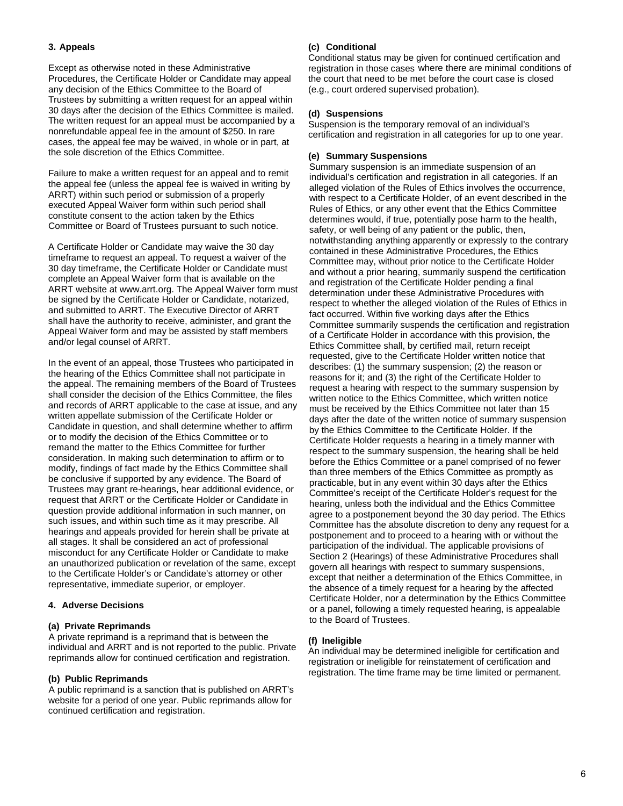# **3. Appeals**

Except as otherwise noted in these Administrative Procedures, the Certificate Holder or Candidate may appeal any decision of the Ethics Committee to the Board of Trustees by submitting a written request for an appeal within 30 days after the decision of the Ethics Committee is mailed. The written request for an appeal must be accompanied by a nonrefundable appeal fee in the amount of \$250. In rare cases, the appeal fee may be waived, in whole or in part, at the sole discretion of the Ethics Committee.

Failure to make a written request for an appeal and to remit the appeal fee (unless the appeal fee is waived in writing by ARRT) within such period or submission of a properly executed Appeal Waiver form within such period shall constitute consent to the action taken by the Ethics Committee or Board of Trustees pursuant to such notice.

A Certificate Holder or Candidate may waive the 30 day timeframe to request an appeal. To request a waiver of the 30 day timeframe, the Certificate Holder or Candidate must complete an Appeal Waiver form that is available on the ARRT website a[t www.arrt.org.](http://www.arrt.org/) The Appeal Waiver form must be signed by the Certificate Holder or Candidate, notarized, and submitted to ARRT. The Executive Director of ARRT shall have the authority to receive, administer, and grant the Appeal Waiver form and may be assisted by staff members and/or legal counsel of ARRT.

In the event of an appeal, those Trustees who participated in the hearing of the Ethics Committee shall not participate in the appeal. The remaining members of the Board of Trustees shall consider the decision of the Ethics Committee, the files and records of ARRT applicable to the case at issue, and any written appellate submission of the Certificate Holder or Candidate in question, and shall determine whether to affirm or to modify the decision of the Ethics Committee or to remand the matter to the Ethics Committee for further consideration. In making such determination to affirm or to modify, findings of fact made by the Ethics Committee shall be conclusive if supported by any evidence. The Board of Trustees may grant re-hearings, hear additional evidence, or request that ARRT or the Certificate Holder or Candidate in question provide additional information in such manner, on such issues, and within such time as it may prescribe. All hearings and appeals provided for herein shall be private at all stages. It shall be considered an act of professional misconduct for any Certificate Holder or Candidate to make an unauthorized publication or revelation of the same, except to the Certificate Holder's or Candidate's attorney or other representative, immediate superior, or employer.

# **4. Adverse Decisions**

### **(a) Private Reprimands**

 A private reprimand is a reprimand that is between the individual and ARRT and is not reported to the public. Private reprimands allow for continued certification and registration.

#### **(b) Public Reprimands**

 A public reprimand is a sanction that is published on ARRT's website for a period of one year. Public reprimands allow for continued certification and registration.

#### **(c) Conditional**

Conditional status may be given for continued certification and registration in those cases where there are minimal conditions of the court that need to be met before the court case is closed (e.g., court ordered supervised probation).

#### **(d) Suspensions**

Suspension is the temporary removal of an individual's certification and registration in all categories for up to one year.

#### **(e) Summary Suspensions**

Summary suspension is an immediate suspension of an individual's certification and registration in all categories. If an alleged violation of the Rules of Ethics involves the occurrence, with respect to a Certificate Holder, of an event described in the Rules of Ethics, or any other event that the Ethics Committee determines would, if true, potentially pose harm to the health, safety, or well being of any patient or the public, then, notwithstanding anything apparently or expressly to the contrary contained in these Administrative Procedures, the Ethics Committee may, without prior notice to the Certificate Holder and without a prior hearing, summarily suspend the certification and registration of the Certificate Holder pending a final determination under these Administrative Procedures with respect to whether the alleged violation of the Rules of Ethics in fact occurred. Within five working days after the Ethics Committee summarily suspends the certification and registration of a Certificate Holder in accordance with this provision, the Ethics Committee shall, by certified mail, return receipt requested, give to the Certificate Holder written notice that describes: (1) the summary suspension; (2) the reason or reasons for it; and (3) the right of the Certificate Holder to request a hearing with respect to the summary suspension by written notice to the Ethics Committee, which written notice must be received by the Ethics Committee not later than 15 days after the date of the written notice of summary suspension by the Ethics Committee to the Certificate Holder. If the Certificate Holder requests a hearing in a timely manner with respect to the summary suspension, the hearing shall be held before the Ethics Committee or a panel comprised of no fewer than three members of the Ethics Committee as promptly as practicable, but in any event within 30 days after the Ethics Committee's receipt of the Certificate Holder's request for the hearing, unless both the individual and the Ethics Committee agree to a postponement beyond the 30 day period. The Ethics Committee has the absolute discretion to deny any request for a postponement and to proceed to a hearing with or without the participation of the individual. The applicable provisions of Section 2 (Hearings) of these Administrative Procedures shall govern all hearings with respect to summary suspensions, except that neither a determination of the Ethics Committee, in the absence of a timely request for a hearing by the affected Certificate Holder, nor a determination by the Ethics Committee or a panel, following a timely requested hearing, is appealable to the Board of Trustees.

#### **(f) Ineligible**

An individual may be determined ineligible for certification and registration or ineligible for reinstatement of certification and registration. The time frame may be time limited or permanent.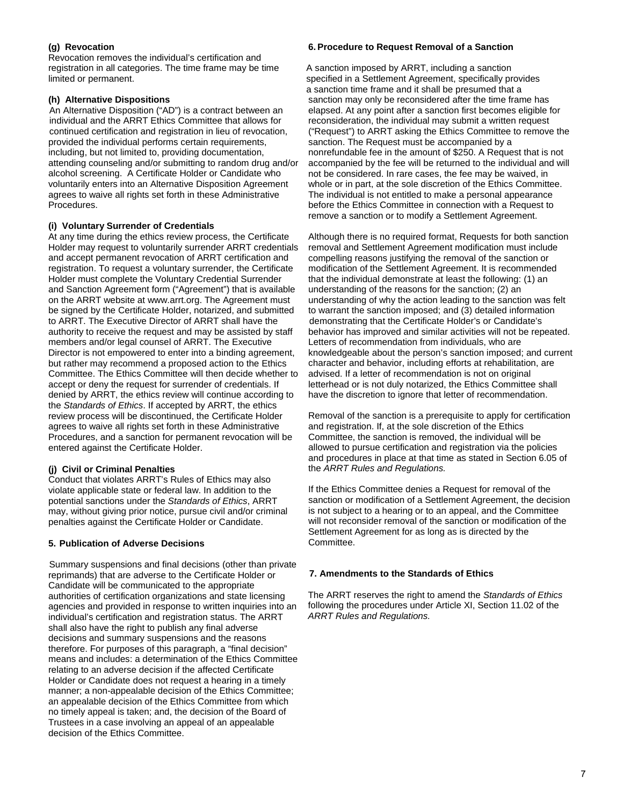# **(g) Revocation**

Revocation removes the individual's certification and registration in all categories. The time frame may be time limited or permanent.

# **(h) Alternative Dispositions**

An Alternative Disposition ("AD") is a contract between an individual and the ARRT Ethics Committee that allows for continued certification and registration in lieu of revocation, provided the individual performs certain requirements, including, but not limited to, providing documentation, attending counseling and/or submitting to random drug and/or alcohol screening. A Certificate Holder or Candidate who voluntarily enters into an Alternative Disposition Agreement agrees to waive all rights set forth in these Administrative Procedures.

# **(i) Voluntary Surrender of Credentials**

At any time during the ethics review process, the Certificate Holder may request to voluntarily surrender ARRT credentials and accept permanent revocation of ARRT certification and registration. To request a voluntary surrender, the Certificate Holder must complete the Voluntary Credential Surrender and Sanction Agreement form ("Agreement") that is available on the ARRT website at [www.arrt.org.](http://www.arrt.org/) The Agreement must be signed by the Certificate Holder, notarized, and submitted to ARRT. The Executive Director of ARRT shall have the authority to receive the request and may be assisted by staff members and/or legal counsel of ARRT. The Executive Director is not empowered to enter into a binding agreement, but rather may recommend a proposed action to the Ethics Committee. The Ethics Committee will then decide whether to accept or deny the request for surrender of credentials. If denied by ARRT, the ethics review will continue according to the *Standards of Ethics*. If accepted by ARRT, the ethics review process will be discontinued, the Certificate Holder agrees to waive all rights set forth in these Administrative Procedures, and a sanction for permanent revocation will be entered against the Certificate Holder.

# **(j) Civil or Criminal Penalties**

Conduct that violates ARRT's Rules of Ethics may also violate applicable state or federal law. In addition to the potential sanctions under the *Standards of Ethics*, ARRT may, without giving prior notice, pursue civil and/or criminal penalties against the Certificate Holder or Candidate.

# **5. Publication of Adverse Decisions**

Summary suspensions and final decisions (other than private reprimands) that are adverse to the Certificate Holder or Candidate will be communicated to the appropriate authorities of certification organizations and state licensing agencies and provided in response to written inquiries into an individual's certification and registration status. The ARRT shall also have the right to publish any final adverse decisions and summary suspensions and the reasons therefore. For purposes of this paragraph, a "final decision" means and includes: a determination of the Ethics Committee relating to an adverse decision if the affected Certificate Holder or Candidate does not request a hearing in a timely manner; a non-appealable decision of the Ethics Committee; an appealable decision of the Ethics Committee from which no timely appeal is taken; and, the decision of the Board of Trustees in a case involving an appeal of an appealable decision of the Ethics Committee.

#### **6.Procedure to Request Removal of a Sanction**

A sanction imposed by ARRT, including a sanction specified in a Settlement Agreement, specifically provides a sanction time frame and it shall be presumed that a sanction may only be reconsidered after the time frame has elapsed. At any point after a sanction first becomes eligible for reconsideration, the individual may submit a written request ("Request") to ARRT asking the Ethics Committee to remove the sanction. The Request must be accompanied by a nonrefundable fee in the amount of \$250. A Request that is not accompanied by the fee will be returned to the individual and will not be considered. In rare cases, the fee may be waived, in whole or in part, at the sole discretion of the Ethics Committee. The individual is not entitled to make a personal appearance before the Ethics Committee in connection with a Request to remove a sanction or to modify a Settlement Agreement.

Although there is no required format, Requests for both sanction removal and Settlement Agreement modification must include compelling reasons justifying the removal of the sanction or modification of the Settlement Agreement. It is recommended that the individual demonstrate at least the following: (1) an understanding of the reasons for the sanction; (2) an understanding of why the action leading to the sanction was felt to warrant the sanction imposed; and (3) detailed information demonstrating that the Certificate Holder's or Candidate's behavior has improved and similar activities will not be repeated. Letters of recommendation from individuals, who are knowledgeable about the person's sanction imposed; and current character and behavior, including efforts at rehabilitation, are advised. If a letter of recommendation is not on original letterhead or is not duly notarized, the Ethics Committee shall have the discretion to ignore that letter of recommendation.

Removal of the sanction is a prerequisite to apply for certification and registration. If, at the sole discretion of the Ethics Committee, the sanction is removed, the individual will be allowed to pursue certification and registration via the policies and procedures in place at that time as stated in Section 6.05 of the *ARRT Rules and Regulations.*

If the Ethics Committee denies a Request for removal of the sanction or modification of a Settlement Agreement, the decision is not subject to a hearing or to an appeal, and the Committee will not reconsider removal of the sanction or modification of the Settlement Agreement for as long as is directed by the Committee.

# **7. Amendments to the Standards of Ethics**

The ARRT reserves the right to amend the *Standards of Ethics*  following the procedures under Article XI, Section 11.02 of the *ARRT Rules and Regulations.*